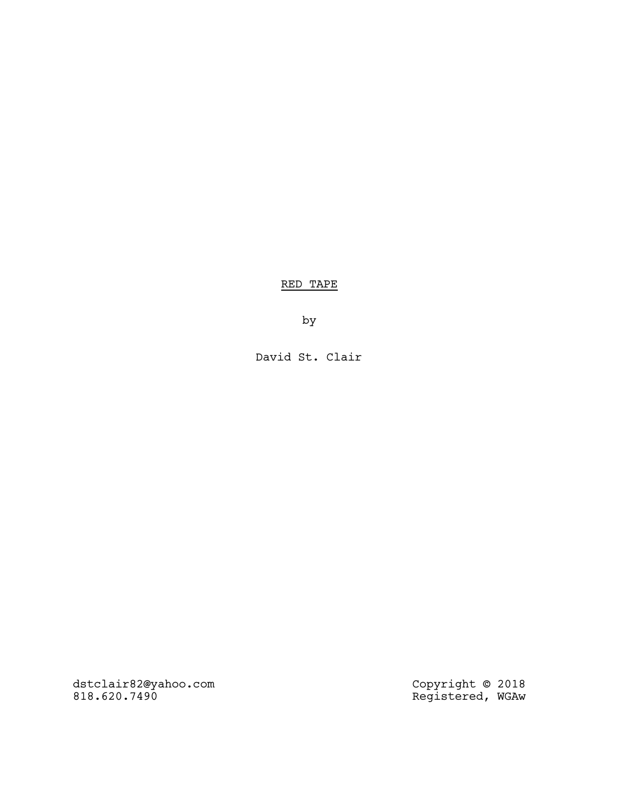RED TAPE

by

David St. Clair

dstclair82@yahoo.com Copyright © 2018 818.620.7490 Registered, WGAw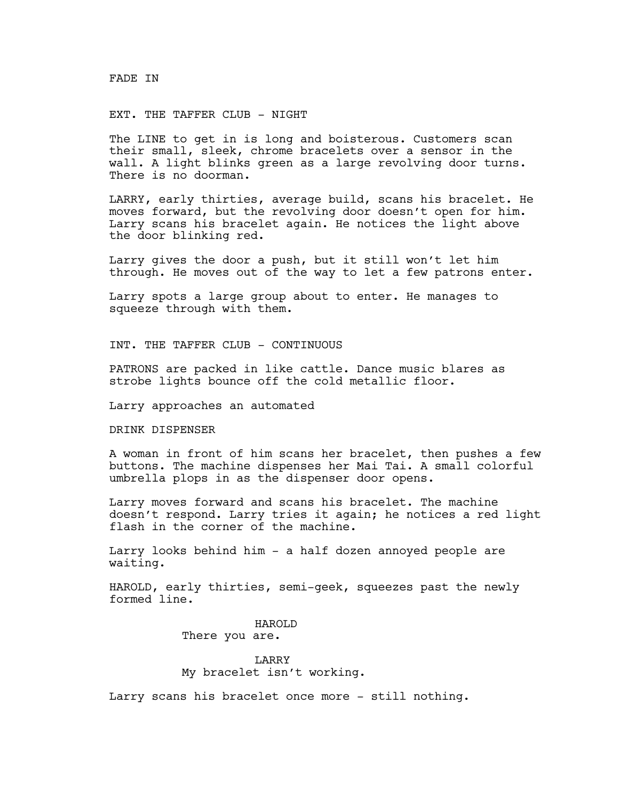### FADE IN

# EXT. THE TAFFER CLUB - NIGHT

The LINE to get in is long and boisterous. Customers scan their small, sleek, chrome bracelets over a sensor in the wall. A light blinks green as a large revolving door turns. There is no doorman.

LARRY, early thirties, average build, scans his bracelet. He moves forward, but the revolving door doesn't open for him. Larry scans his bracelet again. He notices the light above the door blinking red.

Larry gives the door a push, but it still won't let him through. He moves out of the way to let a few patrons enter.

Larry spots a large group about to enter. He manages to squeeze through with them.

INT. THE TAFFER CLUB - CONTINUOUS

PATRONS are packed in like cattle. Dance music blares as strobe lights bounce off the cold metallic floor.

Larry approaches an automated

DRINK DISPENSER

A woman in front of him scans her bracelet, then pushes a few buttons. The machine dispenses her Mai Tai. A small colorful umbrella plops in as the dispenser door opens.

Larry moves forward and scans his bracelet. The machine doesn't respond. Larry tries it again; he notices a red light flash in the corner of the machine.

Larry looks behind him - a half dozen annoyed people are waiting.

HAROLD, early thirties, semi-geek, squeezes past the newly formed line.

> HAROLD There you are.

**LARRY** My bracelet isn't working.

Larry scans his bracelet once more - still nothing.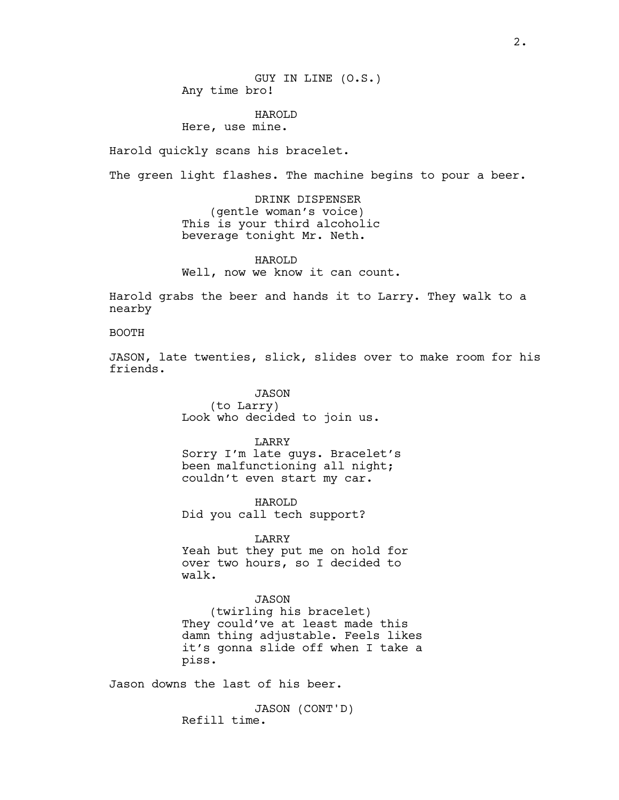GUY IN LINE (O.S.) Any time bro!

HAROLD Here, use mine.

Harold quickly scans his bracelet.

The green light flashes. The machine begins to pour a beer.

DRINK DISPENSER (gentle woman's voice) This is your third alcoholic beverage tonight Mr. Neth.

HAROLD Well, now we know it can count.

Harold grabs the beer and hands it to Larry. They walk to a nearby

#### BOOTH

JASON, late twenties, slick, slides over to make room for his friends.

> JASON (to Larry) Look who decided to join us.

LARRY Sorry I'm late guys. Bracelet's been malfunctioning all night;

HAROLD Did you call tech support?

couldn't even start my car.

LARRY Yeah but they put me on hold for over two hours, so I decided to

walk.

#### JASON

(twirling his bracelet) They could've at least made this damn thing adjustable. Feels likes it's gonna slide off when I take a piss.

Jason downs the last of his beer.

JASON (CONT'D) Refill time.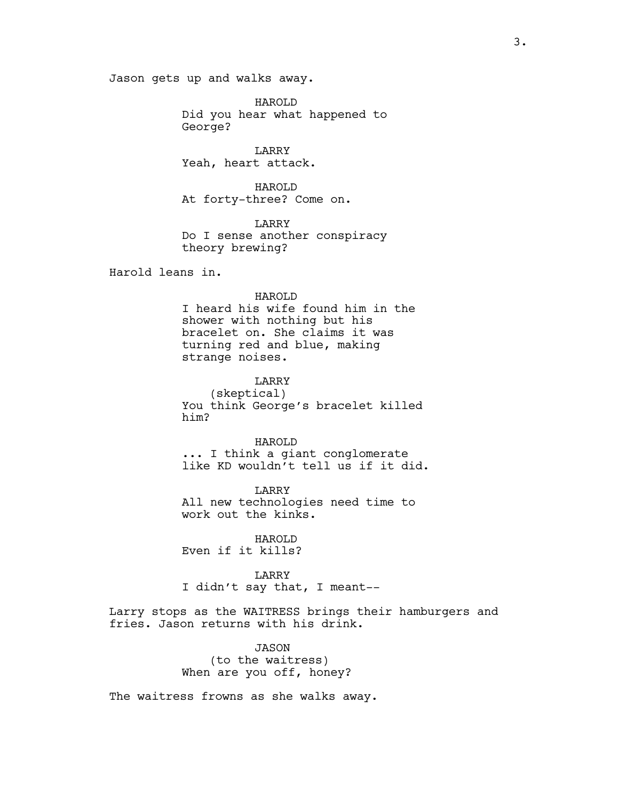Jason gets up and walks away.

HAROLD Did you hear what happened to George?

LARRY Yeah, heart attack.

HAROLD At forty-three? Come on.

LARRY Do I sense another conspiracy theory brewing?

Harold leans in.

#### HAROLD

I heard his wife found him in the shower with nothing but his bracelet on. She claims it was turning red and blue, making strange noises.

LARRY (skeptical) You think George's bracelet killed him?

HAROLD ... I think a giant conglomerate like KD wouldn't tell us if it did.

LARRY All new technologies need time to work out the kinks.

HAROLD Even if it kills?

LARRY I didn't say that, I meant--

Larry stops as the WAITRESS brings their hamburgers and fries. Jason returns with his drink.

> JASON (to the waitress) When are you off, honey?

The waitress frowns as she walks away.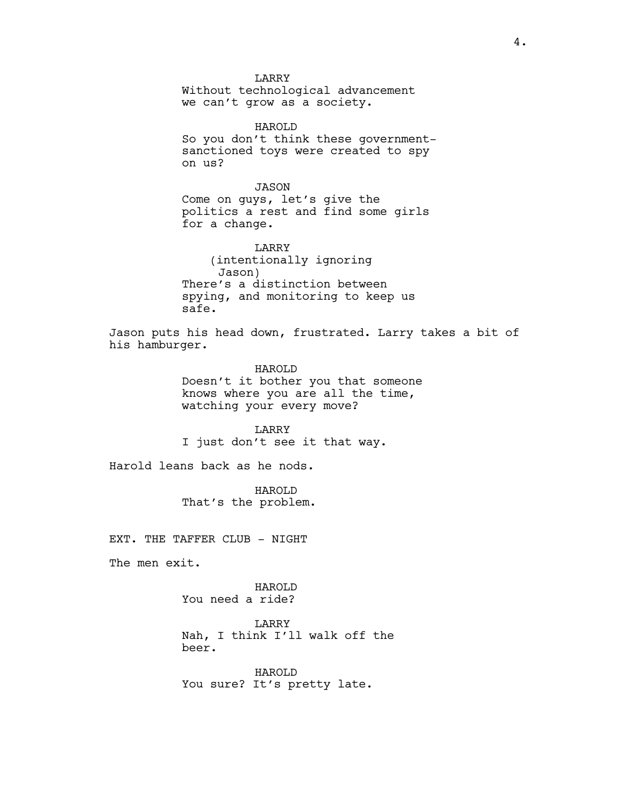**LARRY** Without technological advancement we can't grow as a society.

HAROLD So you don't think these governmentsanctioned toys were created to spy on us?

JASON Come on guys, let's give the politics a rest and find some girls for a change.

LARRY (intentionally ignoring Jason) There's a distinction between spying, and monitoring to keep us safe.

Jason puts his head down, frustrated. Larry takes a bit of his hamburger.

> HAROLD Doesn't it bother you that someone knows where you are all the time, watching your every move?

LARRY I just don't see it that way.

Harold leans back as he nods.

HAROLD That's the problem.

EXT. THE TAFFER CLUB - NIGHT

The men exit.

HAROLD You need a ride?

LARRY Nah, I think I'll walk off the beer.

HAROLD You sure? It's pretty late.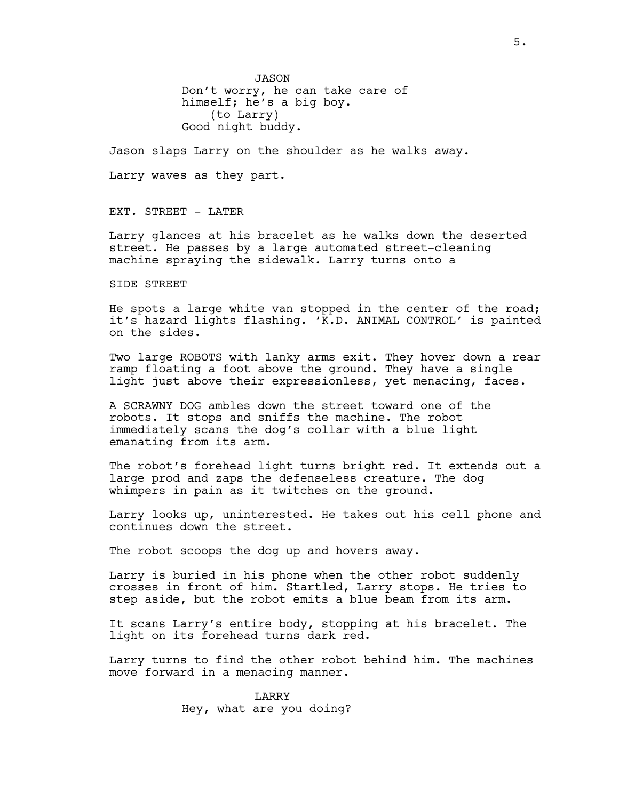JASON Don't worry, he can take care of himself; he's a big boy. (to Larry) Good night buddy.

Jason slaps Larry on the shoulder as he walks away.

Larry waves as they part.

EXT. STREET - LATER

Larry glances at his bracelet as he walks down the deserted street. He passes by a large automated street-cleaning machine spraying the sidewalk. Larry turns onto a

SIDE STREET

He spots a large white van stopped in the center of the road; it's hazard lights flashing. 'K.D. ANIMAL CONTROL' is painted on the sides.

Two large ROBOTS with lanky arms exit. They hover down a rear ramp floating a foot above the ground. They have a single light just above their expressionless, yet menacing, faces.

A SCRAWNY DOG ambles down the street toward one of the robots. It stops and sniffs the machine. The robot immediately scans the dog's collar with a blue light emanating from its arm.

The robot's forehead light turns bright red. It extends out a large prod and zaps the defenseless creature. The dog whimpers in pain as it twitches on the ground.

Larry looks up, uninterested. He takes out his cell phone and continues down the street.

The robot scoops the dog up and hovers away.

Larry is buried in his phone when the other robot suddenly crosses in front of him. Startled, Larry stops. He tries to step aside, but the robot emits a blue beam from its arm.

It scans Larry's entire body, stopping at his bracelet. The light on its forehead turns dark red.

Larry turns to find the other robot behind him. The machines move forward in a menacing manner.

> LARRY Hey, what are you doing?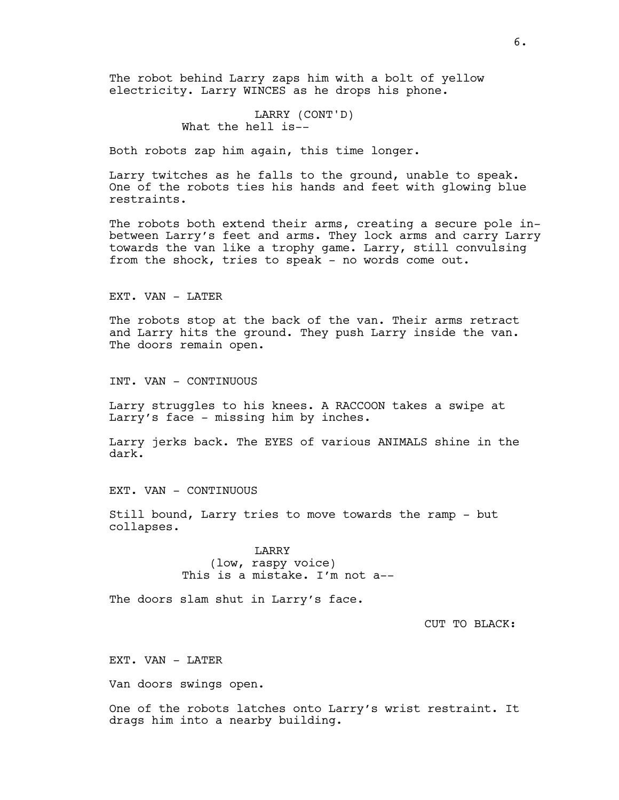The robot behind Larry zaps him with a bolt of yellow electricity. Larry WINCES as he drops his phone.

# LARRY (CONT'D) What the hell is--

Both robots zap him again, this time longer.

Larry twitches as he falls to the ground, unable to speak. One of the robots ties his hands and feet with glowing blue restraints.

The robots both extend their arms, creating a secure pole inbetween Larry's feet and arms. They lock arms and carry Larry towards the van like a trophy game. Larry, still convulsing from the shock, tries to speak - no words come out.

EXT. VAN - LATER

The robots stop at the back of the van. Their arms retract and Larry hits the ground. They push Larry inside the van. The doors remain open.

INT. VAN - CONTINUOUS

Larry struggles to his knees. A RACCOON takes a swipe at Larry's face - missing him by inches.

Larry jerks back. The EYES of various ANIMALS shine in the dark.

EXT. VAN - CONTINUOUS

Still bound, Larry tries to move towards the ramp - but collapses.

> LARRY (low, raspy voice) This is a mistake. I'm not a--

The doors slam shut in Larry's face.

CUT TO BLACK:

EXT. VAN - LATER

Van doors swings open.

One of the robots latches onto Larry's wrist restraint. It drags him into a nearby building.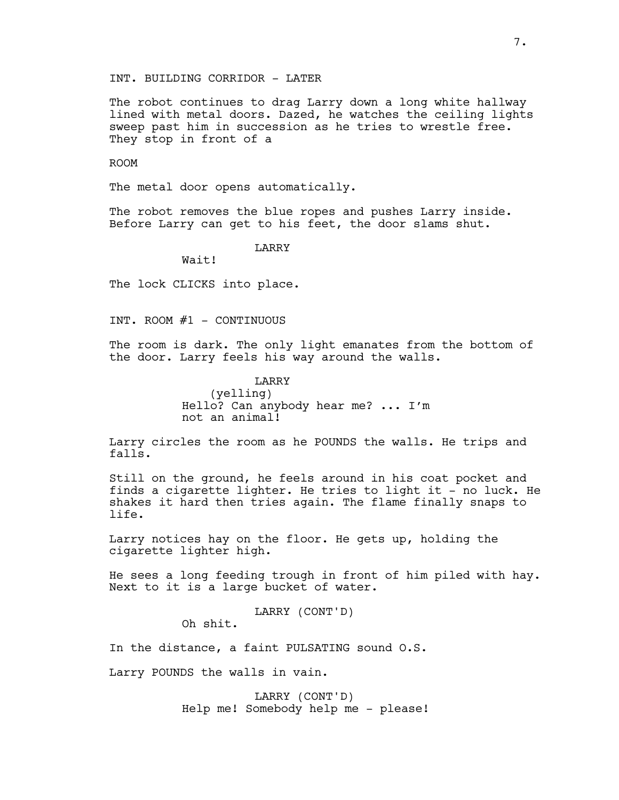INT. BUILDING CORRIDOR - LATER

The robot continues to drag Larry down a long white hallway lined with metal doors. Dazed, he watches the ceiling lights sweep past him in succession as he tries to wrestle free. They stop in front of a

ROOM

The metal door opens automatically.

The robot removes the blue ropes and pushes Larry inside. Before Larry can get to his feet, the door slams shut.

LARRY

Wait!

The lock CLICKS into place.

INT. ROOM  $#1$  - CONTINUOUS

The room is dark. The only light emanates from the bottom of the door. Larry feels his way around the walls.

> LARRY (yelling) Hello? Can anybody hear me? ... I'm not an animal!

Larry circles the room as he POUNDS the walls. He trips and falls.

Still on the ground, he feels around in his coat pocket and finds a cigarette lighter. He tries to light it - no luck. He shakes it hard then tries again. The flame finally snaps to life.

Larry notices hay on the floor. He gets up, holding the cigarette lighter high.

He sees a long feeding trough in front of him piled with hay. Next to it is a large bucket of water.

LARRY (CONT'D)

In the distance, a faint PULSATING sound O.S.

Larry POUNDS the walls in vain.

Oh shit.

LARRY (CONT'D) Help me! Somebody help me - please!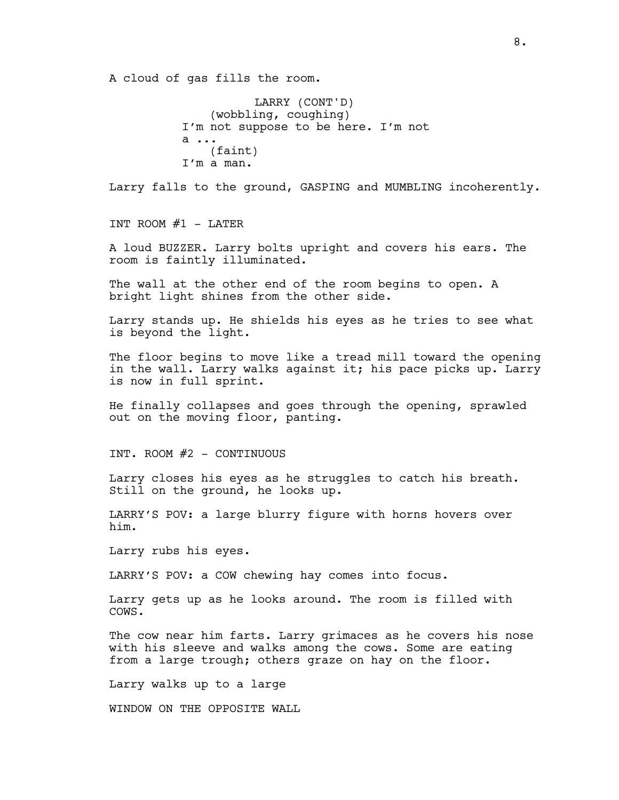A cloud of gas fills the room.

LARRY (CONT'D) (wobbling, coughing) I'm not suppose to be here. I'm not a ... (faint) I'm a man.

Larry falls to the ground, GASPING and MUMBLING incoherently.

INT ROOM  $#1$  - LATER

A loud BUZZER. Larry bolts upright and covers his ears. The room is faintly illuminated.

The wall at the other end of the room begins to open. A bright light shines from the other side.

Larry stands up. He shields his eyes as he tries to see what is beyond the light.

The floor begins to move like a tread mill toward the opening in the wall. Larry walks against it; his pace picks up. Larry is now in full sprint.

He finally collapses and goes through the opening, sprawled out on the moving floor, panting.

INT. ROOM #2 - CONTINUOUS

Larry closes his eyes as he struggles to catch his breath. Still on the ground, he looks up.

LARRY'S POV: a large blurry figure with horns hovers over him.

Larry rubs his eyes.

LARRY'S POV: a COW chewing hay comes into focus.

Larry gets up as he looks around. The room is filled with COWS.

The cow near him farts. Larry grimaces as he covers his nose with his sleeve and walks among the cows. Some are eating from a large trough; others graze on hay on the floor.

Larry walks up to a large

WINDOW ON THE OPPOSITE WALL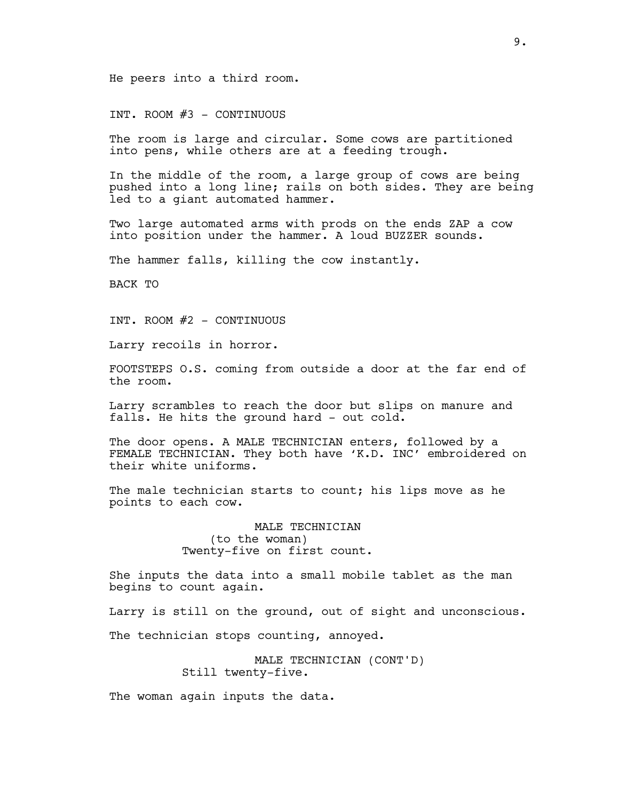He peers into a third room.

INT. ROOM #3 - CONTINUOUS

The room is large and circular. Some cows are partitioned into pens, while others are at a feeding trough.

In the middle of the room, a large group of cows are being pushed into a long line; rails on both sides. They are being led to a giant automated hammer.

Two large automated arms with prods on the ends ZAP a cow into position under the hammer. A loud BUZZER sounds.

The hammer falls, killing the cow instantly.

BACK TO

INT. ROOM #2 - CONTINUOUS

Larry recoils in horror.

FOOTSTEPS O.S. coming from outside a door at the far end of the room.

Larry scrambles to reach the door but slips on manure and falls. He hits the ground hard - out cold.

The door opens. A MALE TECHNICIAN enters, followed by a FEMALE TECHNICIAN. They both have 'K.D. INC' embroidered on their white uniforms.

The male technician starts to count; his lips move as he points to each cow.

> MALE TECHNICIAN (to the woman) Twenty-five on first count.

She inputs the data into a small mobile tablet as the man begins to count again.

Larry is still on the ground, out of sight and unconscious.

The technician stops counting, annoyed.

MALE TECHNICIAN (CONT'D) Still twenty-five.

The woman again inputs the data.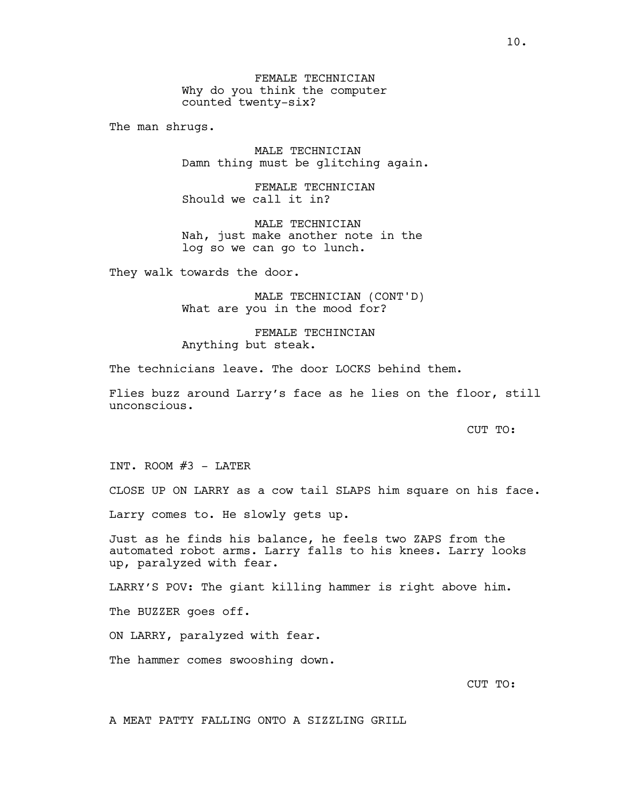FEMALE TECHNICIAN Why do you think the computer counted twenty-six?

The man shrugs.

MALE TECHNICIAN Damn thing must be glitching again.

FEMALE TECHNICIAN Should we call it in?

MALE TECHNICIAN Nah, just make another note in the log so we can go to lunch.

They walk towards the door.

MALE TECHNICIAN (CONT'D) What are you in the mood for?

FEMALE TECHINCIAN Anything but steak.

The technicians leave. The door LOCKS behind them.

Flies buzz around Larry's face as he lies on the floor, still unconscious.

CUT TO:

INT. ROOM  $#3$  - LATER

CLOSE UP ON LARRY as a cow tail SLAPS him square on his face.

Larry comes to. He slowly gets up.

Just as he finds his balance, he feels two ZAPS from the automated robot arms. Larry falls to his knees. Larry looks up, paralyzed with fear.

LARRY'S POV: The giant killing hammer is right above him.

The BUZZER goes off.

ON LARRY, paralyzed with fear.

The hammer comes swooshing down.

CUT TO:

A MEAT PATTY FALLING ONTO A SIZZLING GRILL